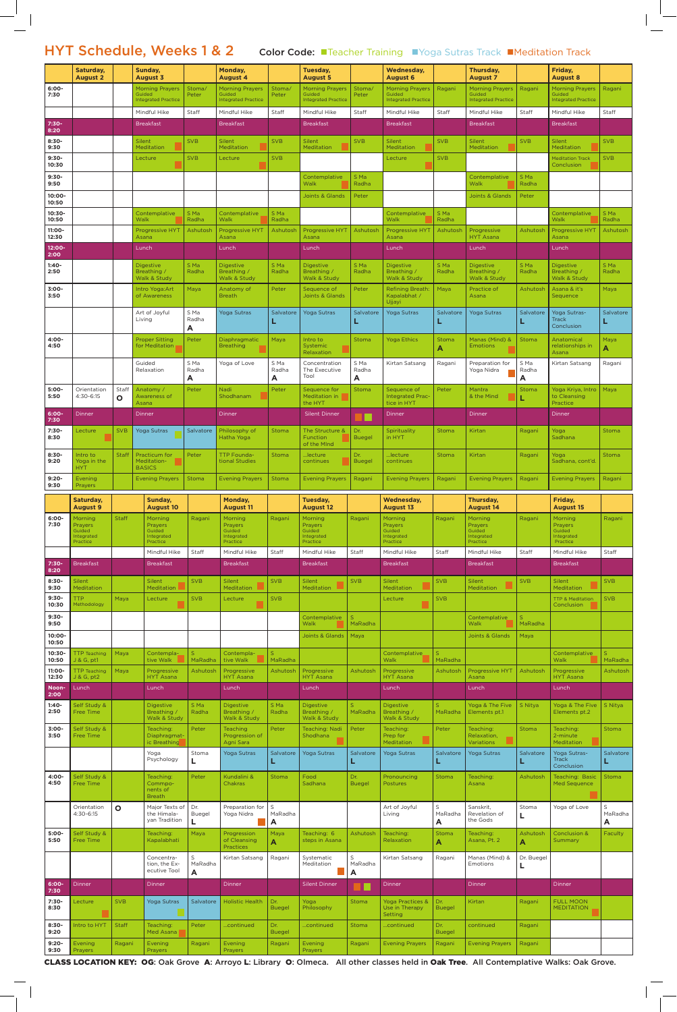HYT Schedule, Weeks 1 & 2 Color Code: Teacher Training Troga Sutras Track Meditation Track

|                    | Saturday,<br><b>August 2</b>            |              | Sunday,<br><b>August 3</b>                        |                      | Monday,<br><b>August 4</b>                      |                         | Tuesday,<br><b>August 5</b>                       |                      | <b>Wednesday,</b><br><b>August 6</b>                            |                         | Thursday,<br><b>August 7</b>                  |                 | Friday,<br><b>August 8</b>                           |                         |
|--------------------|-----------------------------------------|--------------|---------------------------------------------------|----------------------|-------------------------------------------------|-------------------------|---------------------------------------------------|----------------------|-----------------------------------------------------------------|-------------------------|-----------------------------------------------|-----------------|------------------------------------------------------|-------------------------|
| $6:00 -$<br>7:30   |                                         |              | <b>Morning Prayers</b><br>Guided                  | Stoma/<br>Peter      | <b>Morning Prayers</b><br>Guided                | Stoma/<br>Peter         | <b>Morning Prayers</b><br>Guided                  | Stoma/<br>Peter      | <b>Morning Prayers</b><br>Guided                                | Ragani                  | <b>Morning Prayers</b><br>Guided              | Ragani          | <b>Morning Prayers</b><br>Guided                     | Ragani                  |
|                    |                                         |              | <b>Integrated Practice</b><br>Mindful Hike        | Staff                | <b>Integrated Practice</b><br>Mindful Hike      | Staff                   | <b>Integrated Practice</b><br>Mindful Hike        | Staff                | <b>Integrated Practice</b><br>Mindful Hike                      | Staff                   | <b>Integrated Practice</b><br>Mindful Hike    | Staff           | <b>Integrated Practice</b><br>Mindful Hike           | <b>Staff</b>            |
| 7:30-<br>8:20      |                                         |              | <b>Breakfast</b>                                  |                      | <b>Breakfast</b>                                |                         | <b>Breakfast</b>                                  |                      | <b>Breakfast</b>                                                |                         | <b>Breakfast</b>                              |                 | <b>Breakfast</b>                                     |                         |
| $8:30-$<br>9:30    |                                         |              | Silent<br>Meditation                              | <b>SVB</b>           | Silent<br>Meditation                            | <b>SVB</b>              | <b>Silent</b><br>Meditation                       | <b>SVB</b>           | Silent<br>Meditation                                            | <b>SVB</b>              | Silent<br>Meditation                          | <b>SVB</b>      | Silent<br>Meditation                                 | <b>SVB</b>              |
| $9:30-$<br>10:30   |                                         |              | Lecture                                           | <b>SVB</b>           | Lecture                                         | <b>SVB</b>              |                                                   |                      | Lecture                                                         | <b>SVB</b>              |                                               |                 | <b>Meditation Track</b><br>Conclusion                | <b>SVB</b>              |
| $9:30-$<br>9:50    |                                         |              |                                                   |                      |                                                 |                         | Contemplative<br>Walk                             | S Ma<br>Radha        |                                                                 |                         | Contemplative<br>Walk                         | S Ma<br>Radha   |                                                      |                         |
| 10:00-             |                                         |              |                                                   |                      |                                                 |                         | Joints & Glands                                   | Peter                |                                                                 |                         | <b>Joints &amp; Glands</b>                    | Peter           |                                                      |                         |
| 10:50<br>10:30-    |                                         |              | Contemplative                                     | S Ma                 | Contemplative                                   | S Ma                    |                                                   |                      | Contemplative                                                   | S Ma                    |                                               |                 | Contemplative                                        | S Ma                    |
| 10:50<br>11:00-    |                                         |              | Walk<br><b>Progressive HYT</b>                    | Radha<br>Ashutosh    | Walk<br>Progressive HYT                         | Radha<br>Ashutosh       | <b>Progressive HYT</b>                            | Ashutosh             | Walk<br><b>Progressive HYT</b>                                  | Radha<br>Ashutosh       | Progressive                                   | Ashutosh        | Walk<br><b>Progressive HYT</b>                       | Radha<br>Ashutosh       |
| 12:30<br>12:00-    |                                         |              | Asana<br>Lunch                                    |                      | Asana<br>Lunch                                  |                         | Asana<br>Lunch                                    |                      | Asana<br>Lunch                                                  |                         | <b>HYT Asana</b><br>Lunch                     |                 | Asana<br>Lunch                                       |                         |
| 2:00<br>$1:40-$    |                                         |              | <b>Digestive</b>                                  | S Ma                 | <b>Digestive</b>                                | S Ma                    | <b>Digestive</b>                                  | S Ma                 | <b>Digestive</b>                                                | S Ma                    | <b>Digestive</b>                              | S Ma            | <b>Digestive</b>                                     | S Ma                    |
| 2:50               |                                         |              | Breathing /<br>Walk & Study                       | Radha                | Breathing /<br>Walk & Study                     | Radha                   | Breathing /<br>Walk & Study                       | Radha                | Breathing /<br>Walk & Study                                     | Radha                   | Breathing /<br>Walk & Study                   | Radha           | Breathing /<br>Walk & Study                          | Radha                   |
| $3:00 -$<br>3:50   |                                         |              | Intro Yoga: Art<br>of Awareness                   | Maya                 | Anatomy of<br><b>Breath</b>                     | Peter                   | Sequence of<br><b>Joints &amp; Glands</b>         | Peter                | <b>Refining Breath:</b><br>Kapalabhat /<br>Ujjayi               | Maya                    | Practice of<br>Asana                          | Ashutosh        | Asana & it's<br>Sequence                             | Maya                    |
|                    |                                         |              | Art of Joyful<br>Living                           | S Ma<br>Radha        | <b>Yoga Sutras</b>                              | Salvatore               | <b>Yoga Sutras</b>                                | Salvatore<br>L       | <b>Yoga Sutras</b>                                              | Salvatore               | <b>Yoga Sutras</b>                            | Salvatore       | Yoga Sutras-<br><b>Track</b>                         | Salvatore               |
| 4:00-              |                                         |              | <b>Proper Sitting</b>                             | A<br>Peter           | Diaphragmatic                                   | Maya                    | Intro to                                          | Stoma                | <b>Yoga Ethics</b>                                              | Stoma                   | Manas (Mind) &                                | Stoma           | Conclusion<br>Anatomical                             | Maya                    |
| 4:50               |                                         |              | for Meditation                                    |                      | <b>Breathing</b>                                |                         | Systemic<br>Relaxation                            |                      |                                                                 | A                       | <b>Emotions</b>                               |                 | relationships in<br>Asana                            | A                       |
|                    |                                         |              | Guided<br>Relaxation                              | S Ma<br>Radha        | Yoga of Love                                    | S Ma<br>Radha           | Concentration<br>The Executive                    | S Ma<br>Radha        | Kirtan Satsang                                                  | Ragani                  | Preparation for<br>Yoga Nidra                 | S Ma<br>Radha   | Kirtan Satsang                                       | Ragani                  |
| $5:00-$            | Orientation                             | Staff        | Anatomy /                                         | A<br>Peter           | <b>Nadi</b>                                     | A<br>Peter              | Tool<br>Sequence for                              | A<br><b>Stoma</b>    | Sequence of                                                     | Peter                   | Mantra                                        | Α<br>Stoma      | Yoga Kriya, Intro                                    | Maya                    |
| 5:50               | 4:30-6:15                               | O            | Awareness of<br>Asana                             |                      | Shodhanam                                       |                         | Meditation in<br>the HYT                          |                      | <b>Integrated Prac-</b><br>tice in HYT                          |                         | & the Mind                                    |                 | to Cleansing<br>Practice                             |                         |
| 6:00-<br>7:30      | Dinner                                  |              | Dinner                                            |                      | Dinner                                          |                         | <b>Silent Dinner</b>                              |                      | Dinner                                                          |                         | Dinner                                        |                 | <b>Dinner</b>                                        |                         |
| 7:30-<br>8:30      | Lecture                                 | <b>SVB</b>   | <b>Yoga Sutras</b>                                | Salvatore            | Philosophy of<br>Hatha Yoga                     | Stoma                   | The Structure &<br><b>Function</b><br>of the MInd | Dr.<br><b>Buegel</b> | Spirituality<br>in HYT                                          | Stoma                   | Kirtan                                        | Ragani          | Yoga<br>Sadhana                                      | <b>Stoma</b>            |
| $8:30-$<br>9:20    | Intro to<br>Yoga in the                 | <b>Staff</b> | Practicum for<br>Meditation-                      | Peter                | <b>TTP Founda-</b><br>tional Studies            | Stoma                   | lecture<br>continues                              | Dr.<br><b>Buegel</b> | lecture<br>continues                                            | <b>Stoma</b>            | Kirtan                                        | Ragani          | Yoga<br>Sadhana, cont'd.                             | <b>Stoma</b>            |
| $9:20 -$<br>9:30   | <b>HYT</b><br><b>Evening</b><br>Prayers |              | <b>BASICS</b><br><b>Evening Prayers</b>           | Stoma                | <b>Evening Prayers</b>                          | Stoma                   | <b>Evening Prayers</b>                            | Ragani               | <b>Evening Prayers</b>                                          | Ragani                  | <b>Evening Prayers</b>                        | Ragani          | <b>Evening Prayers</b>                               | Ragani                  |
|                    | Saturday,<br><b>August 9</b>            |              | Sunday,<br><b>August 10</b>                       |                      | <b>Monday,</b><br><b>August 11</b>              |                         | Tuesday,<br><b>August 12</b>                      |                      | <b>Wednesday,</b><br><b>August 13</b>                           |                         | Thursday,<br><b>August 14</b>                 |                 | Friday,<br><b>August 15</b>                          |                         |
|                    | Morning                                 | <b>Staff</b> |                                                   |                      |                                                 |                         |                                                   |                      |                                                                 |                         |                                               |                 |                                                      |                         |
| $6:00 -$           |                                         |              | Morning                                           | Ragani               | <b>Morning</b>                                  | Ragani                  | <b>Morning</b>                                    | Ragani               | <b>Morning</b>                                                  | Ragani                  | Morning                                       | Ragani          | Morning                                              | Ragani                  |
| 7:30               | <b>Prayers</b><br>Guided<br>Integrated  |              | <b>Prayers</b><br>Guided<br>Integrated            |                      | <b>Prayers</b><br>Guided<br>Integrated          |                         | <b>Prayers</b><br>Guided<br>Integrated            |                      | <b>Prayers</b><br>Guided<br>Integrated                          |                         | <b>Prayers</b><br>Guided<br>Integrated        |                 | <b>Prayers</b><br>Guided<br>Integrated               |                         |
|                    | Practice                                |              | Practice<br>Mindful Hike                          | Staff                | Practice<br>Mindful Hike                        | Staff                   | Practice<br>Mindful Hike                          | Staff                | Practice<br>Mindful Hike                                        | Staff                   | Practice<br>Mindful Hike                      | Staff           | Practice<br>Mindful Hike                             | Staff                   |
| 7:30-<br>8:20      | <b>Breakfast</b>                        |              | <b>Breakfast</b>                                  |                      | <b>Breakfast</b>                                |                         | <b>Breakfast</b>                                  |                      | <b>Breakfast</b>                                                |                         | <b>Breakfast</b>                              |                 | <b>Breakfast</b>                                     |                         |
| $8:30-$<br>9:30    | <b>Silent</b><br>Meditation             |              | <b>Silent</b><br>Meditation                       | <b>SVB</b>           | <b>Silent</b><br><b>Meditation</b>              | <b>SVB</b>              | <b>Silent</b><br><b>Meditation</b>                | <b>SVB</b>           | Silent<br>Meditation                                            | <b>SVB</b>              | Silent<br>Meditation                          | <b>SVB</b>      | <b>Silent</b><br>Meditation                          | <b>SVB</b>              |
| $9:30-$<br>10:30   | <b>TTP</b><br>Methodology               | Maya         | Lecture                                           | <b>SVB</b>           | Lecture                                         | <b>SVB</b>              |                                                   |                      | Lecture                                                         | <b>SVB</b>              |                                               |                 | <b>TTP &amp; Meditation</b><br>Conclusion            | <b>SVB</b>              |
| $9:30-$<br>9:50    |                                         |              |                                                   |                      |                                                 |                         | Contemplative<br>Walk                             | S.<br>MaRadha        |                                                                 |                         | Contemplative<br>Walk                         | S.<br>MaRadha   |                                                      |                         |
| 10:00-<br>10:50    |                                         |              |                                                   |                      |                                                 |                         | <b>Joints &amp; Glands</b>                        | Maya                 |                                                                 |                         | <b>Joints &amp; Glands</b>                    | Maya            |                                                      |                         |
| $10:30 -$<br>10:50 | <b>TTP</b> Teaching<br>J & G, pt1       | Maya         | Contempla-<br>tive Walk                           | S.<br>MaRadha        | Contempla-<br>tive Walk                         | S.<br>MaRadha           |                                                   |                      | Contemplative<br>Walk                                           | S.<br>MaRadha           |                                               |                 | Contemplative<br>Walk                                | <sub>S</sub><br>MaRadha |
| 11:00-<br>12:30    | <b>TTP</b> Teaching<br>J & G, pt2       | Maya         | Progressive<br><b>HYT Asana</b>                   | Ashutosh             | Progressive<br><b>HYT Asana</b>                 | Ashutosh                | Progressive<br><b>HYT Asana</b>                   | Ashutosh             | Progressive<br><b>HYT Asana</b>                                 | Ashutosh                | <b>Progressive HYT</b><br>Asana               | Ashutosh        | Progressive<br><b>HYT Asana</b>                      | Ashutosh                |
| Noon-<br>2:00      | Lunch                                   |              | Lunch                                             |                      | Lunch                                           |                         | Lunch                                             |                      | Lunch                                                           |                         | Lunch                                         |                 | Lunch                                                |                         |
| $1:40-$<br>2:50    | Self Study &<br><b>Free Time</b>        |              | <b>Digestive</b><br>Breathing /<br>Walk & Study   | S Ma<br>Radha        | <b>Digestive</b><br>Breathing /<br>Walk & Study | S Ma<br>Radha           | <b>Digestive</b><br>Breathing /<br>Walk & Study   | S.<br>MaRadha        | <b>Digestive</b><br>Breathing /<br>Walk & Study                 | $\mathsf{S}$<br>MaRadha | Yoga & The Five<br>Elements pt.1              | S Nitya         | Yoga & The Five<br>Elements pt.2                     | S Nitya                 |
| $3:00 -$<br>3:50   | Self Study &<br>Free Time               |              | Teaching:<br>Diaphragmat-<br>ic Breathing         | Peter                | <b>Teaching</b><br>Progression of<br>Agni Sara  | Peter                   | <b>Teaching: Nadi</b><br>Shodhana                 | Peter                | Teaching:<br>Prep for<br>Meditation                             | Peter                   | Teaching:<br>Relaxation,<br><b>Variations</b> | <b>Stoma</b>    | Teaching:<br>2-minute<br>Meditation                  | Stoma                   |
|                    |                                         |              | Yoga<br>Psychology                                | Stoma<br>щ           | <b>Yoga Sutras</b>                              | Salvatore<br>ц          | Yoga Sutras                                       | Salvatore<br>ц       | <b>Yoga Sutras</b>                                              | Salvatore<br>L.         | <b>Yoga Sutras</b>                            | Salvatore<br>ц  | Yoga Sutras-<br>Track                                | Salvatore<br>L,         |
| 4:00-<br>4:50      | Self Study &<br>Free Time               |              | Teaching:<br>Commpo-<br>nents of<br><b>Breath</b> | Peter                | Kundalini &<br><b>Chakras</b>                   | <b>Stoma</b>            | Food<br>Sadhana                                   | Dr.<br><b>Buegel</b> | Pronouncing<br><b>Postures</b>                                  | Stoma                   | Teaching:<br>Asana                            | Ashutosh        | Conclusion<br>Teaching: Basic<br><b>Med Sequence</b> | Stoma                   |
|                    | Orientation<br>4:30-6:15                | $\mathbf{o}$ | Major Texts of<br>the Himala-<br>van Tradition    | Dr.<br><b>Buegel</b> | Preparation for<br>Yoga Nidra                   | $\mathsf{S}$<br>MaRadha |                                                   |                      | Art of Joyful<br>Living                                         | S<br>MaRadha            | Sanskrit,<br>Revelation of<br>the Gods        | Stoma<br>L      | Yoga of Love                                         | S<br>MaRadha            |
| $5:00 -$<br>5:50   | Self Study &<br>Free Time               |              | Teaching:<br>Kapalabhati                          | Maya                 | Progression<br>of Cleansing                     | Α<br>Maya<br>A          | Teaching: 6<br>steps in Asana                     | Ashutosh             | Teaching:<br>Relaxation                                         | A<br>Stoma<br>Α         | Teaching:<br>Asana, Pt. 2                     | Ashutosh<br>A   | <b>Conclusion &amp;</b><br>Summary                   | A<br>Faculty            |
|                    |                                         |              | Concentra-<br>tion, the Ex-<br>ecutive Tool       | S<br>MaRadha<br>A    | <b>Practices</b><br>Kirtan Satsang              | Ragani                  | Systematic<br>Meditation                          | S<br>MaRadha<br>A    | Kirtan Satsang                                                  | Ragani                  | Manas (Mind) &<br>Emotions                    | Dr. Buegel<br>L |                                                      |                         |
| 6:00-<br>7:30      | Dinner                                  |              | Dinner                                            |                      | Dinner                                          |                         | <b>Silent Dinner</b>                              |                      | <b>Dinner</b>                                                   |                         | <b>Dinner</b>                                 |                 | Dinner                                               |                         |
| $7:30-$<br>8:30    | Lecture                                 | <b>SVB</b>   | <b>Yoga Sutras</b>                                | Salvatore            | <b>Holistic Health</b>                          | Dr.<br><b>Buegel</b>    | Yoga<br>Philosophy                                | Stoma                | <b>Yoga Practices &amp;</b><br>Use in Therapy<br><b>Setting</b> | Dr.<br><b>Buegel</b>    | Kirtan                                        | Ragani          | <b>FULL MOON</b><br><b>MEDITATION</b>                |                         |
| $8:30-$<br>9:20    | Intro to HYT                            | <b>Staff</b> | Teaching:<br>Med Asana                            | Peter                | continued                                       | Dr.<br><b>Buegel</b>    | continued                                         | <b>Stoma</b>         | continued                                                       | Dr.<br><b>Buegel</b>    | continued                                     | Ragani          |                                                      |                         |

Class location key: OG: Oak Grove A: Arroyo L: Library O: Olmeca. All other classes held in Oak Tree. All Contemplative Walks: Oak Grove.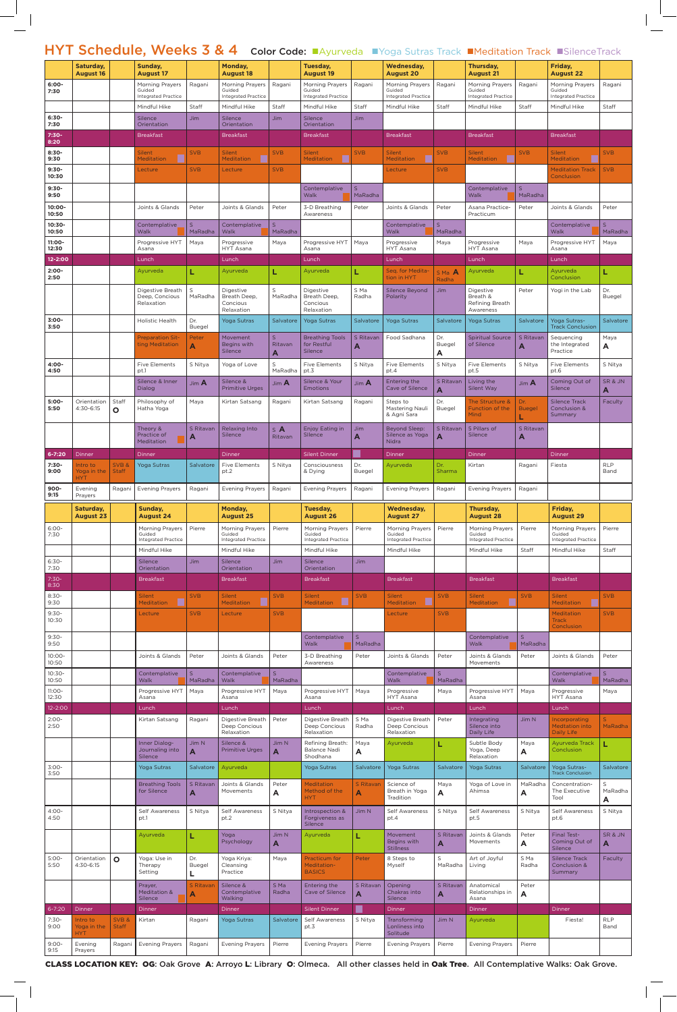## HYT Schedule, Weeks 3 & 4 Color Code: Ayurveda NYoga Sutras Track Meditation Track ISilenceTrack

|                    | Saturday,<br><b>August 16</b>    |                      | Sunday,<br><b>August 17</b>                   |                | Monday,<br><b>August 18</b>                |                            | Tuesday,<br><b>August 19</b>               |                         | <b>Wednesday,</b><br><b>August 20</b>      |                               | Thursday,<br><b>August 21</b>              |                    | Friday,<br><b>August 22</b>                   |                    |
|--------------------|----------------------------------|----------------------|-----------------------------------------------|----------------|--------------------------------------------|----------------------------|--------------------------------------------|-------------------------|--------------------------------------------|-------------------------------|--------------------------------------------|--------------------|-----------------------------------------------|--------------------|
| $6:00 -$<br>7:30   |                                  |                      | Morning Prayers<br>Guided                     | Ragani         | Morning Prayers<br>Guided                  | Ragani                     | Morning Prayers<br>Guided                  | Ragani                  | Morning Prayers<br>Guided                  | Ragani                        | Morning Prayers<br>Guided                  | Ragani             | <b>Morning Prayers</b><br>Guided              | Ragani             |
|                    |                                  |                      | <b>Integrated Practice</b><br>Mindful Hike    | Staff          | <b>Integrated Practice</b><br>Mindful Hike | Staff                      | <b>Integrated Practice</b><br>Mindful Hike | Staff                   | <b>Integrated Practice</b><br>Mindful Hike | Staff                         | <b>Integrated Practice</b><br>Mindful Hike | Staff              | <b>Integrated Practice</b><br>Mindful Hike    | Staff              |
| $6:30-$            |                                  |                      | <b>Silence</b>                                | <b>Jim</b>     | Silence                                    | Jim                        | Silence                                    | <b>Jim</b>              |                                            |                               |                                            |                    |                                               |                    |
| 7:30<br>7:30-      |                                  |                      | Orientation<br><b>Breakfast</b>               |                | Orientation<br><b>Breakfast</b>            |                            | Orientation<br><b>Breakfast</b>            |                         | <b>Breakfast</b>                           |                               | <b>Breakfast</b>                           |                    | <b>Breakfast</b>                              |                    |
| 8:20<br>$8:30-$    |                                  |                      |                                               | <b>SVB</b>     | <b>Silent</b>                              | <b>SVB</b>                 |                                            | <b>SVB</b>              |                                            |                               |                                            | <b>SVB</b>         | <b>Silent</b>                                 |                    |
| 9:30               |                                  |                      | <b>Silent</b><br><b>Meditation</b>            |                | Meditation                                 |                            | <b>Silent</b><br><b>Meditation</b>         |                         | <b>Silent</b><br><b>Meditation</b>         | <b>SVB</b>                    | <b>Silent</b><br>Meditation                |                    | <b>Meditation</b>                             | <b>SVB</b>         |
| $9:30-$<br>10:30   |                                  |                      | Lecture                                       | <b>SVB</b>     | Lecture                                    | <b>SVB</b>                 |                                            |                         | Lecture                                    | <b>SVB</b>                    |                                            |                    | <b>Meditation Track</b><br>Conclusion         | <b>SVB</b>         |
| $9:30-$<br>9:50    |                                  |                      |                                               |                |                                            |                            | Contemplative<br>Walk                      | $\mathsf{S}$<br>MaRadha |                                            |                               | Contemplative<br>Walk                      | S<br>MaRadha       |                                               |                    |
| 10:00-             |                                  |                      | Joints & Glands                               | Peter          | Joints & Glands                            | Peter                      | 3-D Breathing                              | Peter                   | Joints & Glands                            | Peter                         | Asana Practice-                            | Peter              | Joints & Glands                               | Peter              |
| 10:50<br>10:30-    |                                  |                      | Contemplative                                 | S              | Contemplative                              | $\mathsf{S}$               | Awareness                                  |                         | Contemplative                              | S                             | Practicum                                  |                    | Contemplative                                 | S                  |
| 10:50              |                                  |                      | Walk                                          | MaRadha        | Walk<br>Progressive                        | MaRadha                    |                                            |                         | Walk                                       | MaRadha                       |                                            |                    | Walk                                          | MaRadha            |
| 11:00-<br>12:30    |                                  |                      | Progressive HYT<br>Asana                      | Maya           | <b>HYT Asana</b>                           | Maya                       | Progressive HYT<br>Asana                   | Maya                    | Progressive<br>HYT Asana                   | Maya                          | Progressive<br>HYT Asana                   | Maya               | Progressive HYT<br>Asana                      | Maya               |
| 12-2:00<br>$2:00-$ |                                  |                      | Lunch<br>Ayurveda                             |                | Lunch<br>Avurveda                          | L                          | Lunch<br>Ayurveda                          |                         | Lunch<br>Seq. for Medita-                  |                               | Lunch<br>Ayurveda                          |                    | Lunch<br>Ayurveda                             |                    |
| 2:50               |                                  |                      |                                               |                |                                            |                            |                                            | L                       | tion in HYT                                | S Ma A<br>Radha               |                                            |                    | Conclusion                                    | L                  |
|                    |                                  |                      | Digestive Breath<br>Deep, Concious            | S<br>MaRadha   | Digestive<br>Breath Deep,                  | S<br>MaRadha               | Digestive<br>Breath Deep,                  | S Ma<br>Radha           | <b>Silence Beyond</b><br>Polarity          | <b>Jim</b>                    | Digestive<br>Breath &                      | Peter              | Yogi in the Lab                               | Dr.<br>Buegel      |
|                    |                                  |                      | Relaxation                                    |                | Concious<br>Relaxation                     |                            | Concious<br>Relaxation                     |                         |                                            |                               | Refining Breath<br>Awareness               |                    |                                               |                    |
| $3:00 -$<br>3:50   |                                  |                      | Holistic Health                               | Dr.<br>Buegel  | <b>Yoga Sutras</b>                         | Salvatore                  | <b>Yoga Sutras</b>                         | Salvatore               | Yoga Sutras                                | Salvatore                     | <b>Yoga Sutras</b>                         | Salvatore          | Yoga Sutras-<br><b>Track Conclusion</b>       | Salvatore          |
|                    |                                  |                      | <b>Preparation Sit-</b><br>ting Meditation    | Peter<br>A     | Movement<br>Begins with                    | $\mathsf{S}$<br>Ritavan    | <b>Breathing Tools</b><br>for Restful      | S Ritavan               | Food Sadhana                               | Dr.<br>Buegel                 | <b>Spiritual Source</b><br>of Silence      | S Ritavan          | Sequencing<br>the Integrated                  | Maya<br>A          |
|                    |                                  |                      |                                               |                | Silence                                    | Α                          | Silence                                    | A                       |                                            | A                             |                                            | A                  | Practice                                      |                    |
| 4:00-<br>4:50      |                                  |                      | <b>Five Elements</b><br>pt.1                  | S Nitya        | Yoga of Love                               | S<br>MaRadha               | <b>Five Elements</b><br>pt.3               | S Nitya                 | <b>Five Elements</b><br>pt.4               | S Nitya                       | <b>Five Elements</b><br>pt.5               | S Nitya            | <b>Five Elements</b><br>pt.6                  | S Nitya            |
|                    |                                  |                      | Silence & Inner<br>Dialog                     | Jim A          | Silence &<br><b>Primitive Urges</b>        | $\mathsf{Jim}\,\mathsf{A}$ | Silence & Your<br><b>Emotions</b>          | Jim A                   | Entering the<br>Cave of Silence            | S Ritavan<br>A                | Living the<br>Silent Way                   | Jim $A$            | Coming Out of<br>Silence                      | SR & JN<br>Α       |
| $5:00-$<br>5:50    | Orientation<br>4:30-6:15         | Staff                | Philosophy of<br>Hatha Yoga                   | Maya           | Kirtan Satsang                             | Ragani                     | Kirtan Satsang                             | Ragani                  | Steps to<br>Mastering Nauli   Buegel       | Dr.                           | The Structure &<br>Function of the         | Dr.                | <b>Silence Track</b><br>Conclusion &          | Faculty            |
|                    |                                  | O                    |                                               |                |                                            |                            |                                            |                         | & Agni Sara                                |                               | Mind                                       | <b>Buegel</b><br>L | Summary                                       |                    |
|                    |                                  |                      | Theory &<br>Practice of                       | S Ritavan<br>A | Relaxing Into<br>Silence                   | $S$ <b>A</b><br>Ritavan    | Enjoy Eating in<br>Silence                 | <b>Jim</b><br>A         | <b>Beyond Sleep:</b><br>Silence as Yoga    | S Ritavan<br>$\blacktriangle$ | 5 Pillars of<br>Silence                    | S Ritavan<br>A     |                                               |                    |
| $6 - 7:20$         | <b>Dinner</b>                    |                      | <b>Meditation</b><br><b>Dinner</b>            |                | Dinner                                     |                            | <b>Silent Dinner</b>                       |                         | <b>Nidra</b><br>Dinner                     |                               | Dinner                                     |                    | <b>Dinner</b>                                 |                    |
| $7:30-$            | Intro to                         | SVB&                 | <b>Yoga Sutras</b>                            | Salvatore      | <b>Five Elements</b>                       | S Nitya                    | Consciousness                              | Dr.                     | Ayurveda                                   | Dr.                           | Kirtan                                     | Ragani             | Fiesta                                        | <b>RLP</b>         |
| 9:00               | Yoga in the<br><b>HYT</b>        | <b>Staff</b>         |                                               |                | pt.2                                       |                            | & Dying                                    | Buegel                  |                                            | Sharma                        |                                            |                    |                                               | Band               |
| $900 -$<br>9:15    | Evening<br>Prayers               | Ragani               | <b>Evening Prayers</b>                        | Ragani         | <b>Evening Prayers</b>                     | Ragani                     | <b>Evening Prayers</b>                     | Ragani                  | <b>Evening Prayers</b>                     | Ragani                        | <b>Evening Prayers</b>                     | Ragani             |                                               |                    |
|                    | Saturday,<br><b>August 23</b>    |                      | Sunday,<br><b>August 24</b>                   |                | Monday,<br><b>August 25</b>                |                            | Tuesday,<br><b>August 26</b>               |                         | <b>Wednesday,</b><br><b>August 27</b>      |                               | Thursday,<br><b>August 28</b>              |                    | Friday,<br><b>August 29</b>                   |                    |
| $6:00-$            |                                  |                      | Morning Prayers<br>Guided                     | Pierre         | <b>Morning Prayers</b><br>Guided           | Pierre                     | Morning Prayers<br>Guided                  | Pierre                  | Morning Prayers<br>Guided                  | Pierre                        | Morning Prayers<br>Guided                  | Pierre             | Morning Prayers<br>Guided                     | Pierre             |
| 7:30               |                                  |                      | <b>Integrated Practice</b>                    |                | <b>Integrated Practice</b>                 |                            | <b>Integrated Practice</b>                 |                         | <b>Integrated Practice</b>                 |                               | <b>Integrated Practice</b>                 |                    | <b>Integrated Practice</b>                    |                    |
| $6:30-$            |                                  |                      | Mindful Hike<br>Silence                       | Jim.           | Mindful Hike<br>Silence                    | Jim                        | Mindful Hike<br>Silence                    | <b>Jim</b>              | Mindful Hike                               |                               | Mindful Hike                               | Staff              | Mindful Hike                                  | Staff              |
| 7:30<br>$7:30-$    |                                  |                      | Orientation<br><b>Breakfast</b>               |                | Orientation<br><b>Breakfast</b>            |                            | Orientation<br><b>Breakfast</b>            |                         | <b>Breakfast</b>                           |                               | <b>Breakfast</b>                           |                    | <b>Breakfast</b>                              |                    |
| 8:30               |                                  |                      |                                               |                |                                            |                            |                                            |                         |                                            |                               |                                            |                    |                                               |                    |
| $8:30-$<br>9:30    |                                  |                      | <b>Silent</b><br>Meditation                   | <b>SVB</b>     | <b>Silent</b><br><b>Meditation</b>         | <b>SVB</b>                 | <b>Silent</b><br><b>Meditation</b>         | <b>SVB</b>              | <b>Silent</b><br><b>Meditation</b>         | <b>SVB</b>                    | <b>Silent</b><br><b>Meditation</b>         | <b>SVB</b>         | <b>Silent</b><br><b>Meditation</b>            | <b>SVB</b>         |
| $9:30-$<br>10:30   |                                  |                      | Lecture                                       | <b>SVB</b>     | Lecture                                    | <b>SVB</b>                 |                                            |                         | Lecture                                    | <b>SVB</b>                    |                                            |                    | <b>Meditation</b><br><b>Track</b>             | <b>SVB</b>         |
| $9:30-$            |                                  |                      |                                               |                |                                            |                            | Contemplative                              | S                       |                                            |                               | Contemplative                              | $\mathsf{S}$       | Conclusion                                    |                    |
| 9:50               |                                  |                      |                                               |                |                                            |                            | Walk                                       | MaRadha                 |                                            |                               | Walk                                       | MaRadha            |                                               |                    |
| $10:00 -$<br>10:50 |                                  |                      | Joints & Glands                               | Peter          | Joints & Glands                            | Peter                      | 3-D Breathing<br>Awareness                 | Peter                   | Joints & Glands                            | Peter                         | Joints & Glands<br>Movements               | Peter              | Joints & Glands                               | Peter              |
| $10:30-$<br>10:50  |                                  |                      | Contemplative<br>Walk                         | S<br>MaRadha   | Contemplative<br>Walk                      | S<br>MaRadha               |                                            |                         | Contemplative<br>Walk                      | S<br>MaRadha                  |                                            |                    | Contemplative<br>Walk                         | S<br>MaRadha       |
| $11:00 -$<br>12:30 |                                  |                      | Progressive HYT<br>Asana                      | Maya           | Progressive HYT<br>Asana                   | Maya                       | Progressive HYT<br>Asana                   | Maya                    | Progressive<br>HYT Asana                   | Maya                          | Progressive HYT<br>Asana                   | Maya               | Progressive<br>HYT Asana                      | Maya               |
| $12 - 2:00$        |                                  |                      | Lunch                                         |                | Lunch                                      |                            | Lunch                                      |                         | Lunch                                      |                               | Lunch                                      |                    | Lunch                                         |                    |
| $2:00-$<br>2:50    |                                  |                      | Kirtan Satsang                                | Ragani         | Digestive Breath<br>Deep Concious          | Peter                      | Digestive Breath<br>Deep Concious          | S Ma<br>Radha           | Digestive Breath<br>Deep Concious          | Peter                         | Integrating<br>Silence into                | Jim N              | <b>Incorporating</b><br><b>Medtation into</b> | S.<br>MaRadha      |
|                    |                                  |                      |                                               |                | Relaxation                                 |                            | Relaxation                                 |                         | Relaxation                                 |                               | Daily Life<br>Subtle Body                  | Maya               | Daily Life                                    | L                  |
|                    |                                  |                      | Inner Dialog-                                 | Jim N          | Silence &                                  | Jim N                      | Refining Breath:                           | Maya                    | Ayurveda                                   | L                             |                                            |                    | Ayurveda Track                                |                    |
| $3:00-$<br>3:50    |                                  |                      | Journaling into<br>Silence                    | A              | <b>Primitive Urges</b>                     | $\blacktriangle$           | Balance Nadi<br>Shodhana                   | A                       |                                            |                               | Yoga, Deep<br>Relaxation                   | A                  | Conclusion                                    |                    |
|                    |                                  |                      | Yoga Sutras                                   | Salvatore      | Ayurveda                                   |                            | Yoga Sutras                                | Salvatore               | <b>Yoga Sutras</b>                         | Salvatore                     | <b>Yoga Sutras</b>                         | Salvatore          | Yoga Sutras-<br><b>Track Conclusion</b>       | Salvatore          |
|                    |                                  |                      | <b>Breathing Tools</b><br>for Silence         | S Ritavan      | Joints & Glands<br>Movements               | Peter                      | <b>Meditation</b><br>Method of the         | S Ritavan               | Science of<br>Breath in Yoga               | Maya                          | Yoga of Love in<br>Ahimsa                  | MaRadha            | Concentration-<br>The Executive               | S<br>MaRadha       |
|                    |                                  |                      |                                               | A              |                                            | A                          | <b>HYT</b>                                 | Α                       | Tradition                                  | A                             |                                            | A                  | Tool                                          | Α                  |
| $4:00 -$<br>4:50   |                                  |                      | Self Awareness<br>pt.1                        | S Nitya        | Self Awareness<br>pt.2                     | S Nitya                    | Introspection &<br>Forgiveness as          | Jim N                   | Self Awareness<br>pt.4                     | S Nitya                       | Self Awareness<br>pt.5                     | S Nitya            | <b>Self Awareness</b><br>pt.6                 | S Nitya            |
|                    |                                  |                      | Ayurveda                                      |                | Yoga                                       | Jim N                      | Silence<br>Ayurveda                        | L                       | Movement                                   | S Ritavan                     | Joints & Glands                            | Peter              | <b>Final Test-</b>                            | SR & JN            |
|                    |                                  |                      |                                               |                | Psychology                                 | A                          |                                            |                         | Begins with<br><b>Stillness</b>            | A                             | Movements                                  | A                  | Coming Out of<br><b>Silence</b>               | A                  |
| $5:00-$<br>5:50    | Orientation<br>4:30-6:15         | $\mathbf{o}$         | Yoga: Use in<br>Therapy                       | Dr.<br>Buegel  | Yoga Kriya:<br>Cleansing                   | Maya                       | Practicum for<br>Meditation-               | Peter                   | 8 Steps to<br>Myself                       | $\mathsf S$<br>MaRadha        | Art of Joyful<br>Living                    | S Ma<br>Radha      | <b>Silence Track</b><br>Conclusion &          | <b>Faculty</b>     |
|                    |                                  |                      | Setting                                       | L              | Practice                                   |                            | <b>BASICS</b>                              |                         |                                            |                               | Anatomical                                 |                    | <b>Summary</b>                                |                    |
|                    |                                  |                      | Prayer,<br><b>Meditation &amp;</b><br>Silence | S Ritavan<br>A | Silence &<br>Contemplative<br>Walking      | S Ma<br>Radha              | Entering the<br>Cave of Silence            | S Ritavan<br>A          | Opening<br>Chakras into<br>Silence         | S Ritavan<br>A                | Relationships in<br>Asana                  | Peter<br>A         |                                               |                    |
| $6 - 7:20$         | Dinner                           |                      | Dinner                                        |                | Dinner                                     |                            | <b>Silent Dinner</b>                       |                         | Dinner                                     |                               | Dinner                                     |                    | Dinner                                        |                    |
| $7:30-$<br>9:00    | Intro to<br>Yoga in the          | SVB&<br><b>Staff</b> | Kirtan                                        | Ragani         | Yoga Sutras                                | Salvatore                  | Self Awareness<br>pt.3                     | S Nitya                 | Transforming<br>Lonliness into             | Jim N                         | Ayurveda                                   |                    | Fiesta!                                       | <b>RLP</b><br>Band |
| $9:00 -$<br>9:15   | <b>HYT</b><br>Evening<br>Prayers | Ragani               | <b>Evening Prayers</b>                        | Ragani         | <b>Evening Prayers</b>                     | Pierre                     | <b>Evening Prayers</b>                     | Pierre                  | Solitude<br><b>Evening Prayers</b>         | Pierre                        | <b>Evening Prayers</b>                     | Pierre             |                                               |                    |

Class location key: OG: Oak Grove A: Arroyo L: Library O: Olmeca. All other classes held in Oak Tree. All Contemplative Walks: Oak Grove.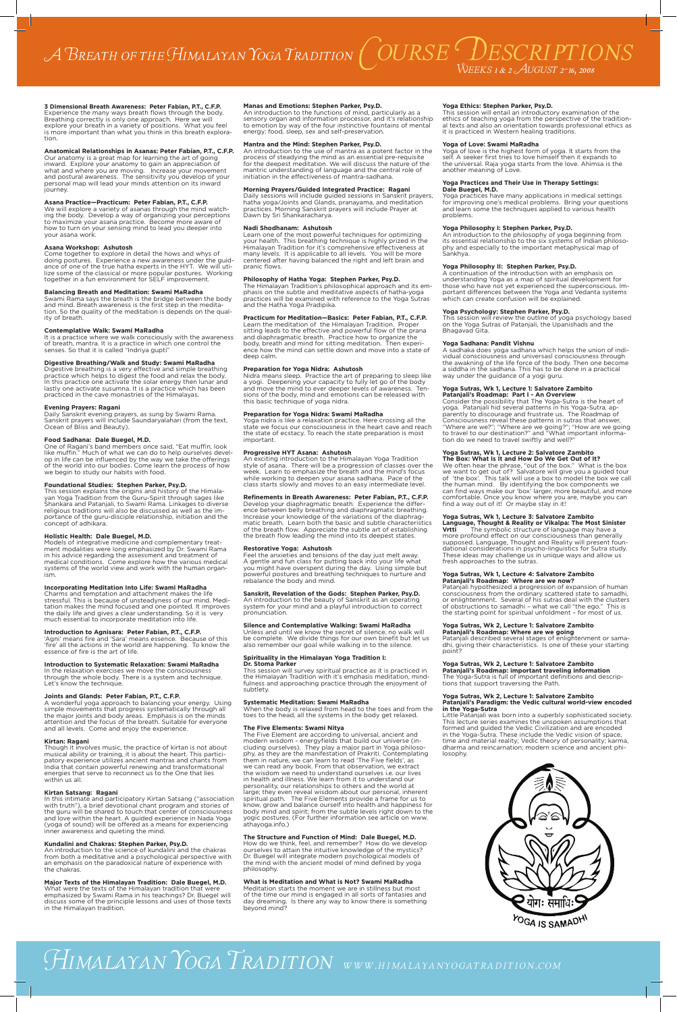**3 Dimensional Breath Awareness: Peter Fabian, P.T., C.F.P.** Experience the many ways breath flows through the body. Breathing correctly is only one approach. Here we will explore your breath in a variety of positions. What you feel is more important than what you think in this breath exploration.

#### **Anatomical Relationships in Asanas: Peter Fabian, P.T., C.F.P.**

Our anatomy is a great map for learning the art of going inward. Explore your anatomy to gain an appreciation of what and where you are moving. Increase your movement and postural awareness. The sensitivity you develop of your personal map will lead your minds attention on its inward journey.

## **Asana Practice—Practicum: Peter Fabian, P.T., C.F.P.**

We will explore a variety of asanas through the mind watching the body. Develop a way of organizing your perceptions to maximize your asana practice. Become more aware of how to turn on your sensing mind to lead you deeper into your asana work.

#### **Asana Workshop: Ashutosh**

Come together to explore in detail the hows and whys of doing postures. Experience a new awareness under the guidance of one of the true hatha experts in the HYT. We will utilize some of the classical or more popular postures. Working together in a fun environment for SELF improvement.

## **Balancing Breath and Meditation: Swami MaRadha**

Swami Rama says the breath is the bridge between the body and mind. Breath awareness is the first step in the meditation. So the quality of the meditation is depends on the quality of breath.

## **Contemplative Walk: Swami MaRadha**

It is a practice where we walk consciously with the awareness of breath, mantra. It is a practice in which one control the senses. So that it is called "Indriya gupti"

## **Digestive Breathing/Walk and Study: Swami MaRadha**

Digestive breathing is a very effective and simple breathing practice which helps to digest the food and relax the body. In this practice one activate the solar energy then lunar and lastly one activate susumna. It is a practice which has been practiced in the cave monastries of the Himalayas.

## **Evening Prayers: Ragani**

Daily Sanskrit evening prayers, as sung by Swami Rama. Sanskrit prayers will include Saundaryalahari (from the text, Ocean of Bliss and Beauty).

### **Food Sadhana: Dale Buegel, M.D.**

One of Ragani's band members once said, "Eat muffin, look like muffin." Much of what we can do to help ourselves develop in life can be influenced by the way we take the offerings of the world into our bodies. Come learn the process of how we begin to study our habits with food.

#### **Foundational Studies: Stephen Parker, Psy.D.**

This session explains the origins and history of the Himalayan Yoga Tradition from the Guru-Spirit through sages like Shankara and Patanjali, to Swami Rama. Linkages to diverse religious traditions will also be discussed as well as the importance of the guru-disciple relationship, initiation and the concept of adhikara.

#### **Holistic Health: Dale Buegel, M.D.**

Models of integrative medicine and complementary treatment modalities were long emphasized by Dr. Swami Rama in his advice regarding the assessment and treatment of medical conditions. Come explore how the various medical systems of the world view and work with the human organism.

## **Incorporating Meditation Into Life: Swami MaRadha**

Charms and temptation and attachment makes the life stressful. This is because of unsteadyness of our mind. Meditation makes the mind focused and one pointed. It improves the daily life and gives a clear understanding. So it is very much essential to incorporate meditation into life.

## **Introduction to Agnisara: Peter Fabian, P.T., C.F.P.**

'Agni' means fire and 'Sara' means essence. Because of this 'fire' all the actions in the world are happening. To know the essence of fire is the art of life.

## **Introduction to Systematic Relaxation: Swami MaRadha**

In the relaxation exercises we move the consciousness through the whole body. There is a system and technique. Let's know the technique.

#### **Joints and Glands: Peter Fabian, P.T., C.F.P.**

A wonderful yoga approach to balancing your energy. Using simple movements that progress systematically through all the major joints and body areas. Emphasis is on the minds attention and the focus of the breath. Suitable for everyone and all levels. Come and enjoy the experience.

## **Kirtan: Ragani**

Feel the anxieties and tensions of the day just melt away. A gentle and fun class for putting back into your life what you might have overspent during the day. Using simple but powerful postures and breathing techniques to nurture and rebalance the body and mind.

Though it involves music, the practice of kirtan is not about musical ability or training, it is about the heart. This participatory experience utilizes ancient mantras and chants from India that contain powerful renewing and transformational energies that serve to reconnect us to the One that lies within us all.

#### **Kirtan Satsang: Ragani**

Unless and until we know the secret of silence, no walk will be complete. We divide things for our own binefit but let us also remember our goal while walking in to the silence.

In this intimate and participatory Kirtan Satsang ("association with truth"), a brief devotional chant program and stories of the guru will be shared to touch that center of consciousness and love within the heart. A guided experience in Nada Yoga (yoga of sound) will be offered as a means for experiencing inner awareness and quieting the mind.

#### **Kundalini and Chakras: Stephen Parker, Psy.D.**

An introduction to the science of kundalini and the chakras from both a meditative and a psychological perspective with an emphasis on the paradoxical nature of experience with the chakras.

#### **Major Texts of the Himalayan Tradition: Dale Buegel, M.D.**

What were the texts of the Himalayan tradition that were emphasized by Swami Rama in his teachings? Dr. Buegel will discuss some of the principle lessons and uses of those texts in the Himalayan tradition.

## **Manas and Emotions: Stephen Parker, Psy.D.**

An introduction to the functions of mind, particularly as a sensory organ and information processor, and it's relationship to emotion by way of the four instinctive fountains of mental energy: food, sleep, sex and self-preservation.

#### **Mantra and the Mind: Stephen Parker, Psy.D.**

An introduction to the use of mantra as a potent factor in the process of steadying the mind as an essential pre-requisite for the deepest meditation. We will discuss the nature of the mantric understanding of language and the central role of initiation in the effectiveness of mantra-sadhana.

#### **Morning Prayers/Guided Integrated Practice: Ragani**

A continuation of the introduction with an emphasis on understanding Yoga as a map of spiritual development for those who have not yet experienced the superconscious. Important differences between the Yoga and Vedanta systems which can create confusion will be explained.

Daily sessions will include guided sessions in Sanskrit prayers, hatha yoga/Joints and Glands, pranayama, and meditation practices. Morning Sanskrit prayers will include Prayer at Dawn by Sri Shankaracharya.

#### **Nadi Shodhanam: Ashutosh**

Learn one of the most powerful techniques for optimizing your health. This breathing technique is highly prized in the Himalayan Tradition for it's comprehensive effectiveness at many levels. It is applicable to all levels. You will be more centered after having balanced the right and left brain and pranic flows.

### **Philosophy of Hatha Yoga: Stephen Parker, Psy.D.**

**The Box: What Is It and How Do We Get Out of It?** We often hear the phrase, "out of the box." What is the box we want to get out of? Salvatore will give you a guided tour of 'the box'. This talk will use a box to model the box we call the human mind. By identifying the box components we can find ways make our 'box' larger, more beautiful, and more comfortable. Once you know where you are, maybe you can find a way out of it! Or maybe stay in it!

The Himalayan Tradition's philosophical approach and its emphasis on the subtle and meditative aspects of hatha-yoga practices will be examined with reference to the Yoga Sutras and the Hatha Yoga Pradipika.

## **Practicum for Meditation—Basics: Peter Fabian, P.T., C.F.P.**

Learn the meditation of the Himalayan Tradition. Proper sitting leads to the effective and powerful flow of the prana and diaphragmatic breath. Practice how to organize the body, breath and mind for sitting meditation. Then experience how the mind can settle down and move into a state of deep calm.

#### **Preparation for Yoga Nidra: Ashutosh**

Nidra means sleep. Practice the art of preparing to sleep like a yogi. Deepening your capacity to fully let go of the body and move the mind to ever deeper levels of awareness. Tensions of the body, mind and emotions can be released with this basic technique of yoga nidra.

## **Preparation for Yoga Nidra: Swami MaRadha**

Yoga nidra is like a relaxation practice. Here crossing all the state we focus our consciousness in the heart cave and reach the state of ecstacy. To reach the state preparation is most important.

#### **Progressive HYT Asana: Ashutosh**

An exciting introduction to the Himalayan Yoga Tradition style of asana. There will be a progression of classes over the week. Learn to emphasize the breath and the mind's focus while working to deepen your asana sadhana. Pace of the class starts slowly and moves to an easy intermediate level.

#### **Refinements in Breath Awareness: Peter Fabian, P.T., C.F.P.**

Develop your diaphragmatic breath. Experience the difference between belly breathing and diaphragmatic breathing. Increase your knowledge of the variations of the diaphragmatic breath. Learn both the basic and subtle characteristics of the breath flow. Appreciate the subtle art of establishing the breath flow leading the mind into its deepest states.

#### **Restorative Yoga: Ashutosh**

#### **Sanskrit, Revelation of the Gods: Stephen Parker, Psy.D.**

An introduction to the beauty of Sanskrit as an operating system for your mind and a playful introduction to correct pronunciation.

## **Silence and Contemplative Walking: Swami MaRadha**

## **Spirituality in the Himalayan Yoga Tradition I:**

**Dr. Stoma Parker** This session will survey spiritual practice as it is practiced in the Himalayan Tradition with it's emphasis meditation, mindfulness and approaching practice through the enjoyment of subtlety.

#### **Systematic Meditation: Swami MaRadha**

When the body is relaxed from head to the toes and from the toes to the head, all the systems in the body get relaxed.

#### **The Five Elements: Swami Nitya**

The Five Element are according to universal, ancient and modern wisdom - energyfields that build our universe (including ourselves). They play a major part in Yoga philosophy, as they are the manifestation of Prakriti. Contemplating them in nature, we can learn to read 'The Five fields', as we can read any book. From that observation, we extract the wisdom we need to understand ourselves i.e. our lives in health and illness. We learn from it to understand our personality, our relationships to others and the world at large; they even reveal wisdom about our personal, inherent spiritual path. The Five Elements provide a frame for us to know, grow and balance ourself into health and happiness for body mind and spirit; from the subtle levels right down to the yogic postures. (For further information see article on www. athayoga.info.)

#### **The Structure and Function of Mind: Dale Buegel, M.D.**

How do we think, feel, and remember? How do we develop ourselves to attain the intuitive knowledge of the mystics? Dr. Buegel will integrate modern psychological models of the mind with the ancient model of mind defined by yoga philosophy.

## **What is Meditation and What is Not? Swami MaRadha**

Meditation starts the moment we are in stillness but most of the time our mind is engaged in all sorts of fantasies and day dreaming. Is there any way to know there is something beyond mind?

# *Himalayan Yoga Tradition www.himalayanyogatradition.com*

## **Yoga Ethics: Stephen Parker, Psy.D.**

This session will entail an introductory examination of the ethics of teaching yoga from the perspective of the traditional texts and also an orientation towards professional ethics as it is practiced in Western healing traditions.

#### **Yoga of Love: Swami MaRadha**

Yoga of love is the highest form of yoga. It starts from the self. A seeker first tries to love himself then it expands to the universal. Raja yoga starts from the love. Ahimsa is the another meaning of Love.

#### **Yoga Practices and Their Use in Therapy Settings: Dale Buegel, M.D.**

Yoga practices have many applications in medical settings for improving one's medical problems. Bring your questions and learn some the techniques applied to various health problems.

### **Yoga Philosophy I: Stephen Parker, Psy.D.**

An introduction to the philosophy of yoga beginning from its essential relationship to the six systems of Indian philosophy and especially to the important metaphysical map of Sankhya.

#### **Yoga Philosophy II: Stephen Parker, Psy.D.**

## **Yoga Psychology: Stephen Parker, Psy.D.**

This session will review the outline of yoga psychology based on the Yoga Sutras of Patanjali, the Upanishads and the Bhagavad Gita.

### **Yoga Sadhana: Pandit Vishnu**

A sadhaka does yoga sadhana which helps the union of individual consciousness and universasl consciousness through the awakning of the life force of the body. Then one become a siddha in the sadhana. This has to be done in a practical way under the guidance of a yogi guru.

#### **Yoga Sutras, Wk 1, Lecture 1: Salvatore Zambito Patanjali's Roadmap: Part I - An Overview**

Consider the possibility that The Yoga-Sutra is the heart of yoga. Patanjali hid several patterns in his Yoga-Sutra, apparently to discourage and frustrate us. The Roadmap of Consciousness reveal these patterns in sutras that answer, "Where are we?"; "Where are we going?"; "How are we going to travel to our destination?" and "What important information do we need to travel swiftly and well?"

## **Yoga Sutras, Wk 1, Lecture 2: Salvatore Zambito**

#### **Yoga Sutras, Wk 1, Lecture 3: Salvatore Zambito**

**Language, Thought & Reality or Vikalpa: The Most Sinister Vrtti** The symbolic structure of language may have a more profound effect on our consciousness than generally supposed. Language, Thought and Reality will present foundational considerations in psycho-linguistics for Sutra study. These ideas may challenge us in unique ways and allow us fresh approaches to the sutras.

#### **Yoga Sutras, Wk 1, Lecture 4: Salvatore Zambito Patanjali's Roadmap: Where are we now?**

Patanjali hypothesized a progression of expansion of human consciousness from the ordinary scattered state to samadhi, or enlightenment. Several of his sutras deal with the clusters of obstructions to samadhi – what we call "the ego." This is the starting point for spiritual unfoldment – for most of us.

## **Yoga Sutras, Wk 2, Lecture 1: Salvatore Zambito**

**Patanjali's Roadmap: Where are we going** Patanjali described several stages of enlightenment or samadhi, giving their characteristics. Is one of these your starting point?

## **Yoga Sutras, Wk 2, Lecture 1: Salvatore Zambito**

**Patanjali's Roadmap: important traveling information** The Yoga-Sutra is full of important definitions and descriptions that support traversing the Path.

#### **Yoga Sutras, Wk 2, Lecture 1: Salvatore Zambito**

#### **Patanjali's Paradigm: the Vedic cultural world-view encoded in the Yoga-Sutra**

Little Patanjali was born into a superbly sophisticated society. This lecture series examines the unspoken assumptions that formed and guided the Vedic Civilization and are encoded in the Yoga-Sutra. These include the Vedic vision of space, time and material reality; Vedic theory of personality; karma, dharma and reincarnation; modern science and ancient philosophy.